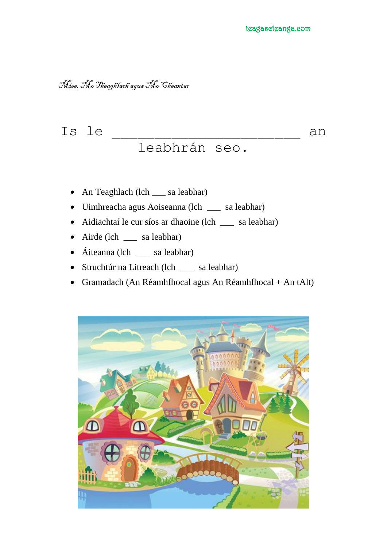## Mise, Mc Theaghlach agus Mc Cheantar

# Is le  $\Box$ leabhrán seo.

- An Teaghlach (lch \_\_\_ sa leabhar)
- Uimhreacha agus Aoiseanna (lch \_\_\_ sa leabhar)
- Aidiachtaí le cur síos ar dhaoine (lch \_\_\_ sa leabhar)
- Airde (lch \_\_\_ sa leabhar)
- Áiteanna (lch \_\_\_ sa leabhar)
- Struchtúr na Litreach (lch \_\_\_ sa leabhar)
- Gramadach (An Réamhfhocal agus An Réamhfhocal + An tAlt)

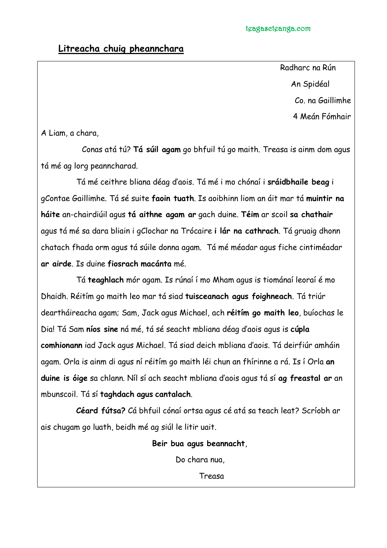#### **Litreacha chuig pheannchara**

 Radharc na Rún An Spidéal Co. na Gaillimhe

4 Meán Fómhair

A Liam, a chara,

Conas atá tú? **Tá súil agam** go bhfuil tú go maith. Treasa is ainm dom agus tá mé ag lorg peanncharad.

Tá mé ceithre bliana déag d'aois. Tá mé i mo chónaí i **sráidbhaile beag** i gContae Gaillimhe. Tá sé suite **faoin tuath**. Is aoibhinn liom an áit mar tá **muintir na háite** an-chairdiúil agus **tá aithne agam ar** gach duine. **Téim** ar scoil **sa chathair** agus tá mé sa dara bliain i gClochar na Trócaire **i lár na cathrach**. Tá gruaig dhonn chatach fhada orm agus tá súile donna agam. Tá mé méadar agus fiche cintiméadar **ar airde**. Is duine **fiosrach macánta** mé.

Tá **teaghlach** mór agam. Is rúnaí í mo Mham agus is tiománaí leoraí é mo Dhaidh. Réitím go maith leo mar tá siad **tuisceanach agus foighneach**. Tá triúr deartháireacha agam; Sam, Jack agus Michael, ach **réitím go maith leo**, buíochas le Dia! Tá Sam **níos sine** ná mé, tá sé seacht mbliana déag d'aois agus is **cúpla comhionann** iad Jack agus Michael. Tá siad deich mbliana d'aois. Tá deirfiúr amháin agam. Orla is ainm di agus ní réitím go maith léi chun an fhírinne a rá. Is í Orla **an duine is óige** sa chlann. Níl sí ach seacht mbliana d'aois agus tá sí **ag freastal ar** an mbunscoil. Tá sí **taghdach agus cantalach**.

**Céard fútsa?** Cá bhfuil cónaí ortsa agus cé atá sa teach leat? Scríobh ar ais chugam go luath, beidh mé ag siúl le litir uait.

**Beir bua agus beannacht**,

Do chara nua,

Treasa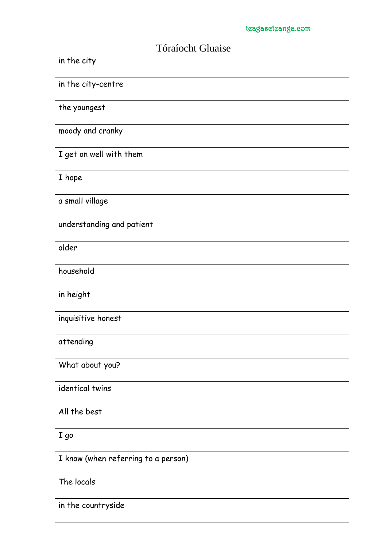| Tóraíocht Gluaise                   |
|-------------------------------------|
| in the city                         |
| in the city-centre                  |
| the youngest                        |
| moody and cranky                    |
| I get on well with them             |
| I hope                              |
| a small village                     |
| understanding and patient           |
| older                               |
| household                           |
| in height                           |
| inquisitive honest                  |
| attending                           |
| What about you?                     |
| identical twins                     |
| All the best                        |
| I go                                |
| I know (when referring to a person) |
| The locals                          |
| in the countryside                  |

#### Tóraíocht Gluaise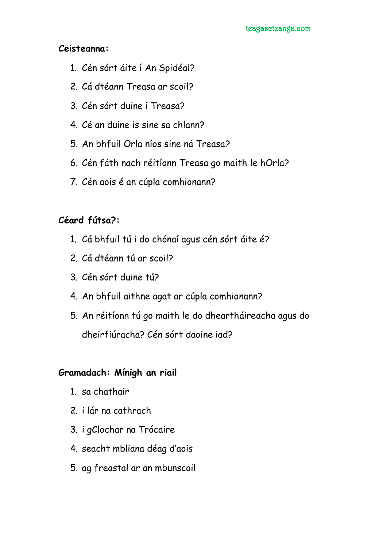#### **Ceisteanna:**

- 1. Cén sórt áite í An Spidéal?
- 2. Cá dtéann Treasa ar scoil?
- 3. Cén sórt duine í Treasa?
- 4. Cé an duine is sine sa chlann?
- 5. An bhfuil Orla níos sine ná Treasa?
- 6. Cén fáth nach réitíonn Treasa go maith le hOrla?
- 7. Cén aois é an cúpla comhionann?

## **Céard fútsa?:**

- 1. Cá bhfuil tú i do chónaí agus cén sórt áite é?
- 2. Cá dtéann tú ar scoil?
- 3. Cén sórt duine tú?
- 4. An bhfuil aithne agat ar cúpla comhionann?
- 5. An réitíonn tú go maith le do dheartháireacha agus do dheirfiúracha? Cén sórt daoine iad?

### **Gramadach: Mínigh an riail**

- 1. sa chathair
- 2. i lár na cathrach
- 3. i gClochar na Trócaire
- 4. seacht mbliana déag d'aois
- 5. ag freastal ar an mbunscoil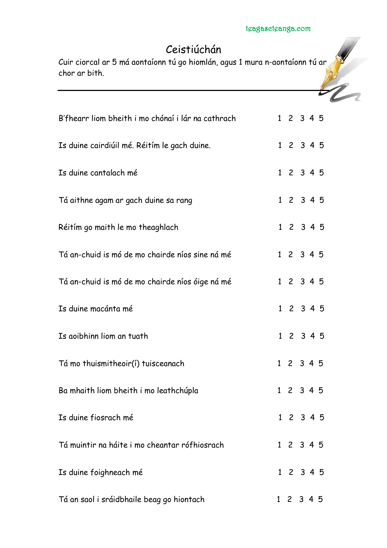# Ceistiúchán

Cuir ciorcal ar 5 má aontaíonn tú go hiomlán, agus 1 mura n-aontaíonn tú ar chor ar bith.

| B'fhearr liom bheith i mo chónaí i lár na cathrach | 1 2 3 4 5 |  |  |
|----------------------------------------------------|-----------|--|--|
| Is duine cairdiúil mé. Réitím le gach duine.       | 1 2 3 4 5 |  |  |
| Is duine cantalach mé                              | 1 2 3 4 5 |  |  |
| Tá aithne agam ar gach duine sa rang               | 1 2 3 4 5 |  |  |
| Réitím go maith le mo theaghlach                   | 1 2 3 4 5 |  |  |
| Tá an-chuid is mó de mo chairde níos sine ná mé    | 1 2 3 4 5 |  |  |
| Tá an-chuid is mó de mo chairde níos óige ná mé    | 1 2 3 4 5 |  |  |
| Is duine macánta mé                                | 1 2 3 4 5 |  |  |
| Is aoibhinn liom an tuath                          | 1 2 3 4 5 |  |  |
| Tá mo thuismitheoir(í) tuisceanach                 | 1 2 3 4 5 |  |  |
| Ba mhaith liom bheith i mo leathchúpla             | 1 2 3 4 5 |  |  |
| Is duine fiosrach mé                               | 1 2 3 4 5 |  |  |
| Tá muintir na háite i mo cheantar rófhiosrach      | 1 2 3 4 5 |  |  |
| Is duine foighneach mé                             | 1 2 3 4 5 |  |  |
| Tá an saol i sráidbhaile beag go hiontach          | 1 2 3 4 5 |  |  |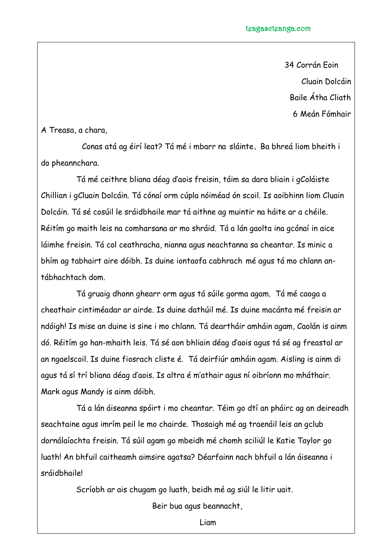34 Corrán Eoin Cluain Dolcáin Baile Átha Cliath 6 Meán Fómhair

A Treasa, a chara,

Conas atá ag éirí leat? Tá mé i mbarr na sláinte**.** Ba bhreá liom bheith i do pheannchara.

Tá mé ceithre bliana déag d'aois freisin, táim sa dara bliain i gColáiste Chillian i gCluain Dolcáin. Tá cónaí orm cúpla nóiméad ón scoil. Is aoibhinn liom Cluain Dolcáin. Tá sé cosúil le sráidbhaile mar tá aithne ag muintir na háite ar a chéile. Réitím go maith leis na comharsana ar mo shráid. Tá a lán gaolta ina gcónaí in aice láimhe freisin. Tá col ceathracha, nianna agus neachtanna sa cheantar. Is minic a bhím ag tabhairt aire dóibh. Is duine iontaofa cabhrach mé agus tá mo chlann antábhachtach dom.

Tá gruaig dhonn ghearr orm agus tá súile gorma agam. Tá mé caoga a cheathair cintiméadar ar airde. Is duine dathúil mé. Is duine macánta mé freisin ar ndóigh! Is mise an duine is sine i mo chlann. Tá deartháir amháin agam, Caolán is ainm dó. Réitím go han-mhaith leis. Tá sé aon bhliain déag d'aois agus tá sé ag freastal ar an ngaelscoil. Is duine fiosrach cliste é. Tá deirfiúr amháin agam. Aisling is ainm di agus tá sí trí bliana déag d'aois. Is altra é m'athair agus ní oibríonn mo mháthair. Mark agus Mandy is ainm dóibh.

Tá a lán áiseanna spóirt i mo cheantar. Téim go dtí an pháirc ag an deireadh seachtaine agus imrím peil le mo chairde. Thosaigh mé ag traenáil leis an gclub dornálaíochta freisin. Tá súil agam go mbeidh mé chomh sciliúl le Katie Taylor go luath! An bhfuil caitheamh aimsire agatsa? Déarfainn nach bhfuil a lán áiseanna i sráidbhaile!

Scríobh ar ais chugam go luath, beidh mé ag siúl le litir uait.

Beir bua agus beannacht,

Liam